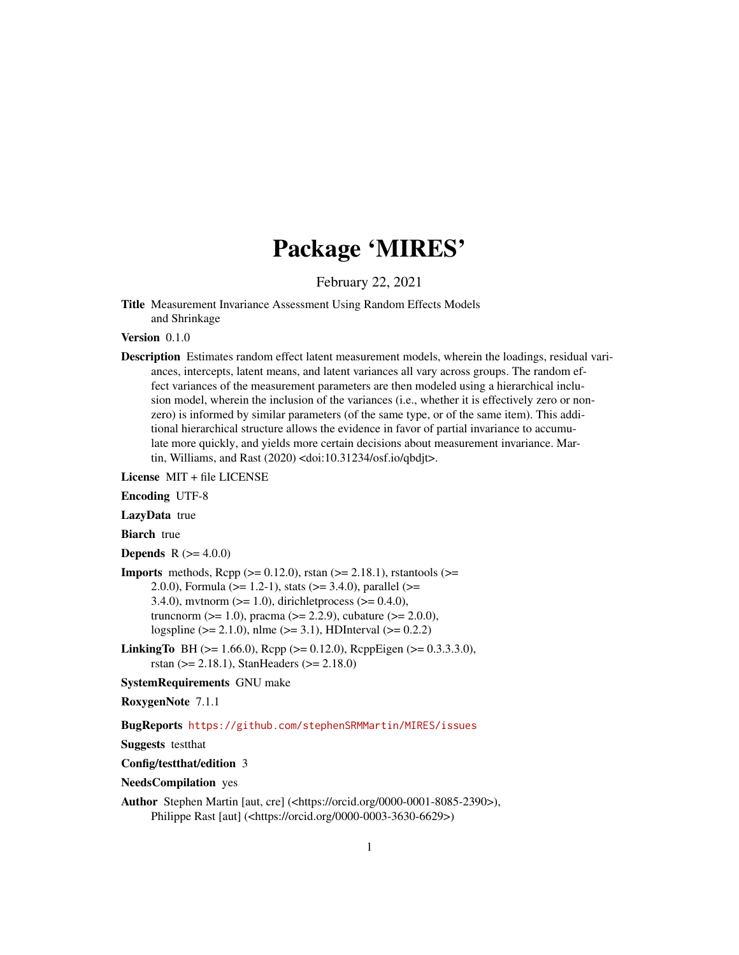## Package 'MIRES'

February 22, 2021

<span id="page-0-0"></span>Title Measurement Invariance Assessment Using Random Effects Models and Shrinkage

Version 0.1.0

Description Estimates random effect latent measurement models, wherein the loadings, residual variances, intercepts, latent means, and latent variances all vary across groups. The random effect variances of the measurement parameters are then modeled using a hierarchical inclusion model, wherein the inclusion of the variances (i.e., whether it is effectively zero or nonzero) is informed by similar parameters (of the same type, or of the same item). This additional hierarchical structure allows the evidence in favor of partial invariance to accumulate more quickly, and yields more certain decisions about measurement invariance. Martin, Williams, and Rast (2020) <doi:10.31234/osf.io/qbdjt>.

License MIT + file LICENSE

Encoding UTF-8

LazyData true

**Biarch** true

**Depends** R  $(>= 4.0.0)$ 

- **Imports** methods,  $\text{Rcpp} (> = 0.12.0)$ , rstan ( $>= 2.18.1$ ), rstantools ( $>=$ 2.0.0), Formula (>= 1.2-1), stats (>= 3.4.0), parallel (>= 3.4.0), mythorm  $(>= 1.0)$ , dirichlet process  $(>= 0.4.0)$ , truncnorm ( $>= 1.0$ ), pracma ( $>= 2.2.9$ ), cubature ( $>= 2.0.0$ ), logspline (>= 2.1.0), nlme (>= 3.1), HDInterval (>= 0.2.2)
- **LinkingTo** BH ( $>= 1.66.0$ ), Rcpp ( $>= 0.12.0$ ), RcppEigen ( $>= 0.3.3.3.0$ ), rstan (>= 2.18.1), StanHeaders (>= 2.18.0)

SystemRequirements GNU make

RoxygenNote 7.1.1

BugReports <https://github.com/stephenSRMMartin/MIRES/issues>

Suggests testthat

Config/testthat/edition 3

NeedsCompilation yes

Author Stephen Martin [aut, cre] (<https://orcid.org/0000-0001-8085-2390>), Philippe Rast [aut] (<https://orcid.org/0000-0003-3630-6629>)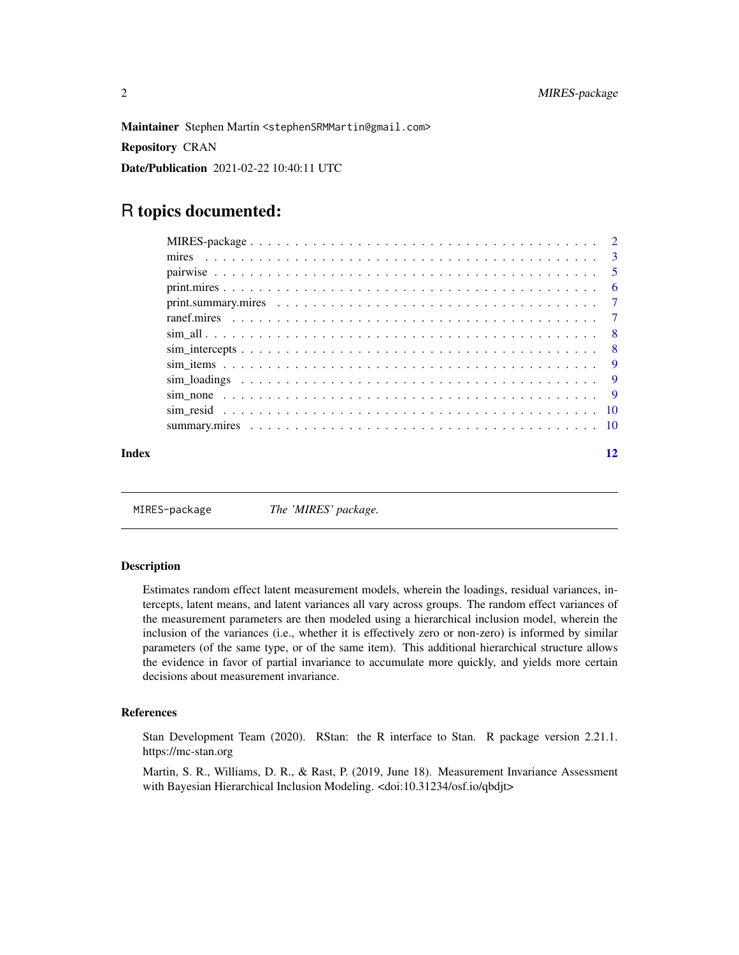<span id="page-1-0"></span>Maintainer Stephen Martin <stephenSRMMartin@gmail.com> Repository CRAN Date/Publication 2021-02-22 10:40:11 UTC

### R topics documented:

| Index | 12 |
|-------|----|

MIRES-package *The 'MIRES' package.*

#### Description

Estimates random effect latent measurement models, wherein the loadings, residual variances, intercepts, latent means, and latent variances all vary across groups. The random effect variances of the measurement parameters are then modeled using a hierarchical inclusion model, wherein the inclusion of the variances (i.e., whether it is effectively zero or non-zero) is informed by similar parameters (of the same type, or of the same item). This additional hierarchical structure allows the evidence in favor of partial invariance to accumulate more quickly, and yields more certain decisions about measurement invariance.

#### References

Stan Development Team (2020). RStan: the R interface to Stan. R package version 2.21.1. https://mc-stan.org

Martin, S. R., Williams, D. R., & Rast, P. (2019, June 18). Measurement Invariance Assessment with Bayesian Hierarchical Inclusion Modeling. <doi:10.31234/osf.io/qbdjt>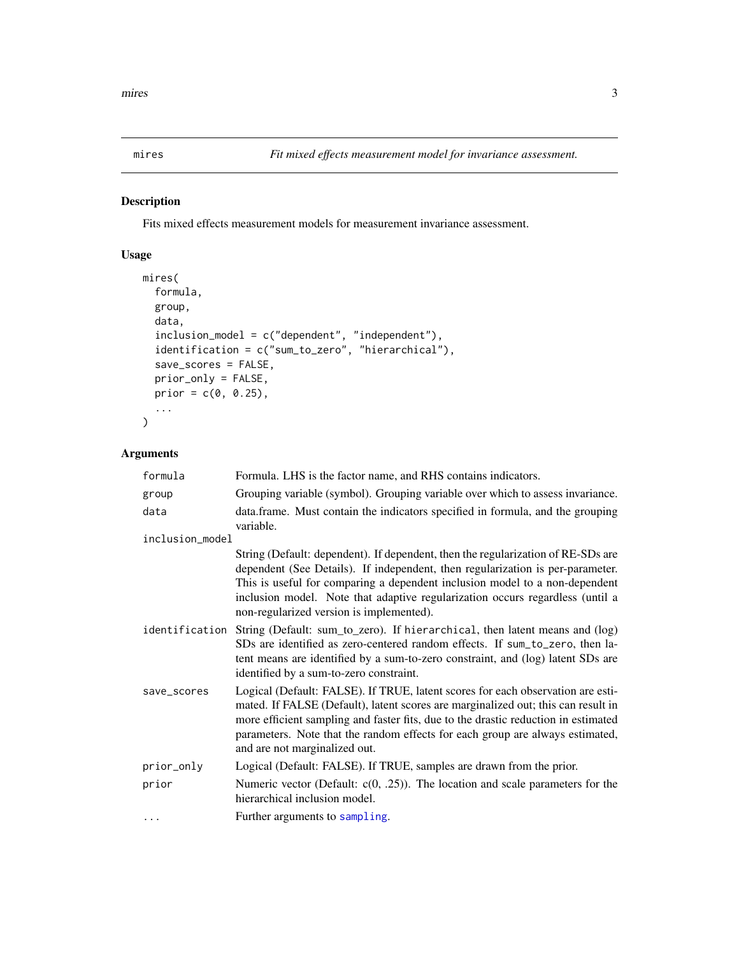<span id="page-2-0"></span>

#### Description

Fits mixed effects measurement models for measurement invariance assessment.

#### Usage

```
mires(
  formula,
  group,
  data,
  inclusion_model = c("dependent", "independent"),
  identification = c("sum_to_zero", "hierarchical"),
  save_scores = FALSE,
  prior_only = FALSE,
  prior = c(0, 0.25),
  ...
)
```
#### Arguments

| formula         | Formula. LHS is the factor name, and RHS contains indicators.                                                                                                                                                                                                                                                                                                                  |
|-----------------|--------------------------------------------------------------------------------------------------------------------------------------------------------------------------------------------------------------------------------------------------------------------------------------------------------------------------------------------------------------------------------|
| group           | Grouping variable (symbol). Grouping variable over which to assess invariance.                                                                                                                                                                                                                                                                                                 |
| data            | data.frame. Must contain the indicators specified in formula, and the grouping<br>variable.                                                                                                                                                                                                                                                                                    |
| inclusion_model |                                                                                                                                                                                                                                                                                                                                                                                |
|                 | String (Default: dependent). If dependent, then the regularization of RE-SDs are<br>dependent (See Details). If independent, then regularization is per-parameter.<br>This is useful for comparing a dependent inclusion model to a non-dependent<br>inclusion model. Note that adaptive regularization occurs regardless (until a<br>non-regularized version is implemented). |
| identification  | String (Default: sum_to_zero). If hierarchical, then latent means and (log)<br>SDs are identified as zero-centered random effects. If sum_to_zero, then la-<br>tent means are identified by a sum-to-zero constraint, and (log) latent SDs are<br>identified by a sum-to-zero constraint.                                                                                      |
| save_scores     | Logical (Default: FALSE). If TRUE, latent scores for each observation are esti-<br>mated. If FALSE (Default), latent scores are marginalized out; this can result in<br>more efficient sampling and faster fits, due to the drastic reduction in estimated<br>parameters. Note that the random effects for each group are always estimated,<br>and are not marginalized out.   |
| prior_only      | Logical (Default: FALSE). If TRUE, samples are drawn from the prior.                                                                                                                                                                                                                                                                                                           |
| prior           | Numeric vector (Default: $c(0, .25)$ ). The location and scale parameters for the<br>hierarchical inclusion model.                                                                                                                                                                                                                                                             |
| $\cdots$        | Further arguments to sampling.                                                                                                                                                                                                                                                                                                                                                 |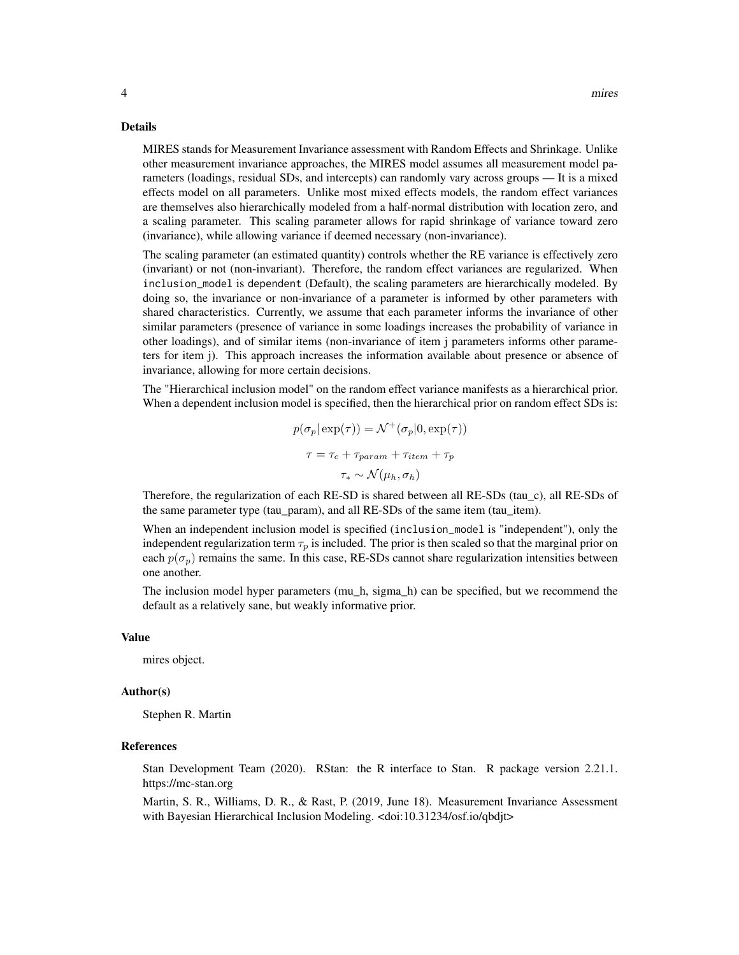#### Details

MIRES stands for Measurement Invariance assessment with Random Effects and Shrinkage. Unlike other measurement invariance approaches, the MIRES model assumes all measurement model parameters (loadings, residual SDs, and intercepts) can randomly vary across groups — It is a mixed effects model on all parameters. Unlike most mixed effects models, the random effect variances are themselves also hierarchically modeled from a half-normal distribution with location zero, and a scaling parameter. This scaling parameter allows for rapid shrinkage of variance toward zero (invariance), while allowing variance if deemed necessary (non-invariance).

The scaling parameter (an estimated quantity) controls whether the RE variance is effectively zero (invariant) or not (non-invariant). Therefore, the random effect variances are regularized. When inclusion\_model is dependent (Default), the scaling parameters are hierarchically modeled. By doing so, the invariance or non-invariance of a parameter is informed by other parameters with shared characteristics. Currently, we assume that each parameter informs the invariance of other similar parameters (presence of variance in some loadings increases the probability of variance in other loadings), and of similar items (non-invariance of item j parameters informs other parameters for item j). This approach increases the information available about presence or absence of invariance, allowing for more certain decisions.

The "Hierarchical inclusion model" on the random effect variance manifests as a hierarchical prior. When a dependent inclusion model is specified, then the hierarchical prior on random effect SDs is:

$$
p(\sigma_p | \exp(\tau)) = \mathcal{N}^+(\sigma_p | 0, \exp(\tau))
$$

$$
\tau = \tau_c + \tau_{param} + \tau_{item} + \tau_p
$$

$$
\tau_* \sim \mathcal{N}(\mu_h, \sigma_h)
$$

Therefore, the regularization of each RE-SD is shared between all RE-SDs (tau\_c), all RE-SDs of the same parameter type (tau\_param), and all RE-SDs of the same item (tau\_item).

When an independent inclusion model is specified (inclusion\_model is "independent"), only the independent regularization term  $\tau_p$  is included. The prior is then scaled so that the marginal prior on each  $p(\sigma_p)$  remains the same. In this case, RE-SDs cannot share regularization intensities between one another.

The inclusion model hyper parameters (mu\_h, sigma\_h) can be specified, but we recommend the default as a relatively sane, but weakly informative prior.

#### Value

mires object.

#### Author(s)

Stephen R. Martin

#### **References**

Stan Development Team (2020). RStan: the R interface to Stan. R package version 2.21.1. https://mc-stan.org

Martin, S. R., Williams, D. R., & Rast, P. (2019, June 18). Measurement Invariance Assessment with Bayesian Hierarchical Inclusion Modeling. <doi:10.31234/osf.io/qbdjt>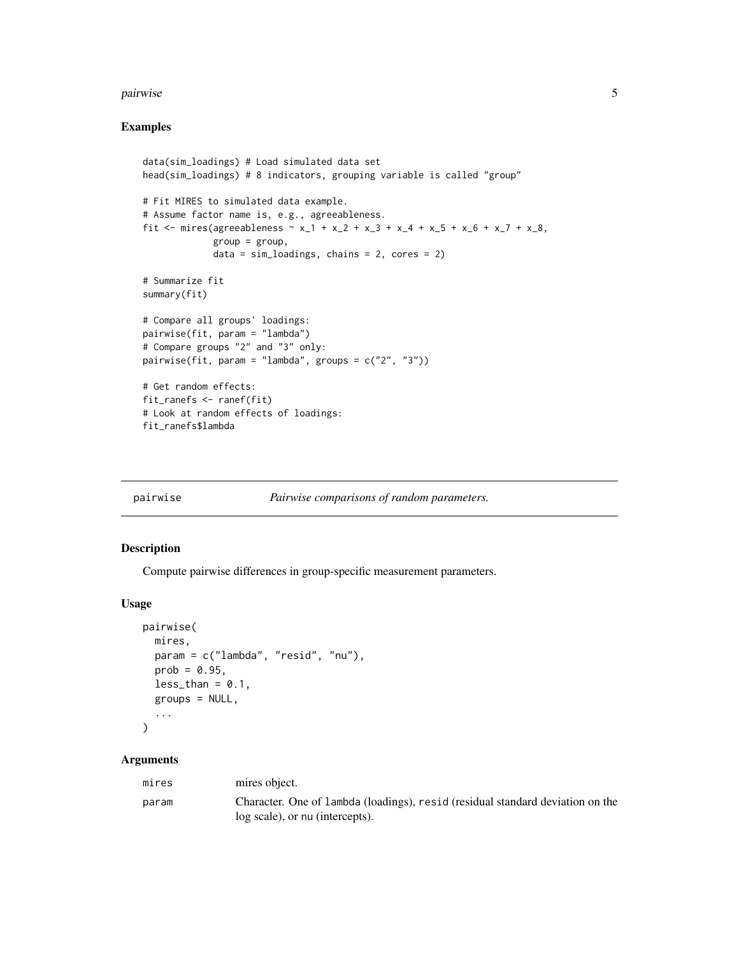#### <span id="page-4-0"></span>pairwise 50 and 50 and 50 and 50 and 50 and 50 and 50 and 50 and 50 and 50 and 50 and 50 and 50 and 50 and 50 and 50 and 50 and 50 and 50 and 50 and 50 and 50 and 50 and 50 and 50 and 50 and 50 and 50 and 50 and 50 and 50

#### Examples

```
data(sim_loadings) # Load simulated data set
head(sim_loadings) # 8 indicators, grouping variable is called "group"
# Fit MIRES to simulated data example.
# Assume factor name is, e.g., agreeableness.
fit <- mires(agreeableness \sim x_1 + x_2 + x_3 + x_4 + x_5 + x_6 + x_7 + x_8,
             group = group,data = sim_loadings, chains = 2, cores = 2)
# Summarize fit
summary(fit)
# Compare all groups' loadings:
pairwise(fit, param = "lambda")
# Compare groups "2" and "3" only:
pairwise(fit, param = "lambda", groups = c("2", "3"))
# Get random effects:
fit_ranefs <- ranef(fit)
# Look at random effects of loadings:
fit_ranefs$lambda
```
pairwise *Pairwise comparisons of random parameters.*

#### Description

Compute pairwise differences in group-specific measurement parameters.

#### Usage

```
pairwise(
  mires,
  param = c("lambda", "resid", "nu"),
  prob = 0.95,less_{\text{than}} = 0.1,
  groups = NULL,
  ...
\mathcal{L}
```
#### Arguments

| mires | mires object.                                                                  |
|-------|--------------------------------------------------------------------------------|
| param | Character. One of lambda (loadings), resid (residual standard deviation on the |
|       | log scale), or nu (intercepts).                                                |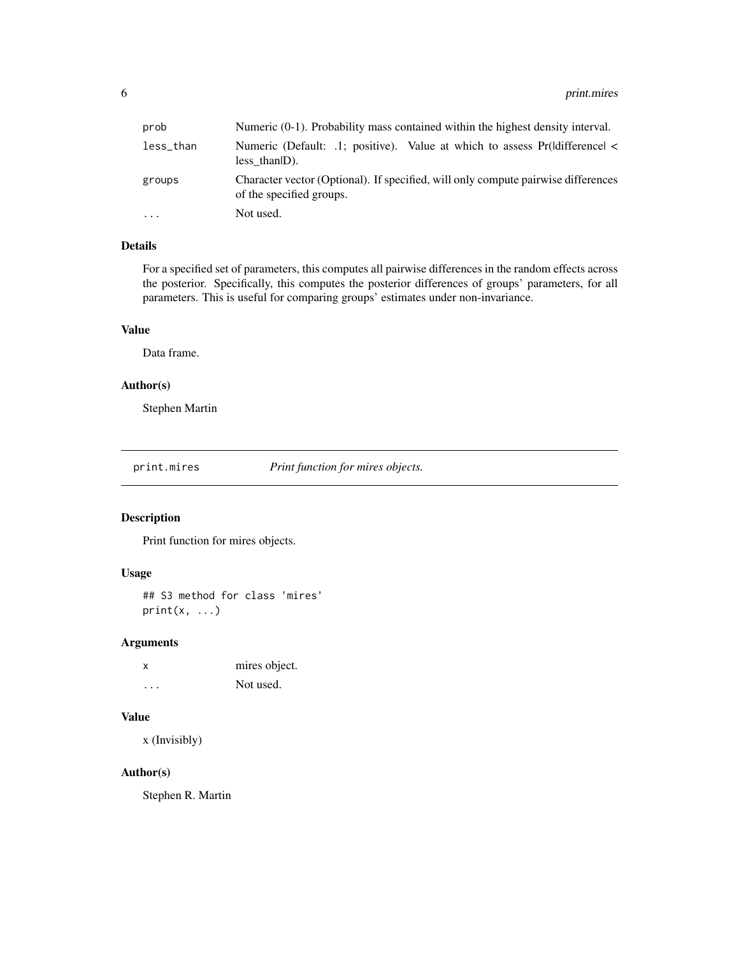<span id="page-5-0"></span>

| prob      | Numeric (0-1). Probability mass contained within the highest density interval.                                |
|-----------|---------------------------------------------------------------------------------------------------------------|
| less_than | Numeric (Default: .1; positive). Value at which to assess Pr(ldifference <<br>$less than D).$                 |
| groups    | Character vector (Optional). If specified, will only compute pairwise differences<br>of the specified groups. |
| $\ddotsc$ | Not used.                                                                                                     |

#### Details

For a specified set of parameters, this computes all pairwise differences in the random effects across the posterior. Specifically, this computes the posterior differences of groups' parameters, for all parameters. This is useful for comparing groups' estimates under non-invariance.

#### Value

Data frame.

#### Author(s)

Stephen Martin

print.mires *Print function for mires objects.*

### Description

Print function for mires objects.

#### Usage

## S3 method for class 'mires'  $print(x, \ldots)$ 

#### Arguments

| x | mires object. |
|---|---------------|
| . | Not used.     |

#### Value

x (Invisibly)

#### Author(s)

Stephen R. Martin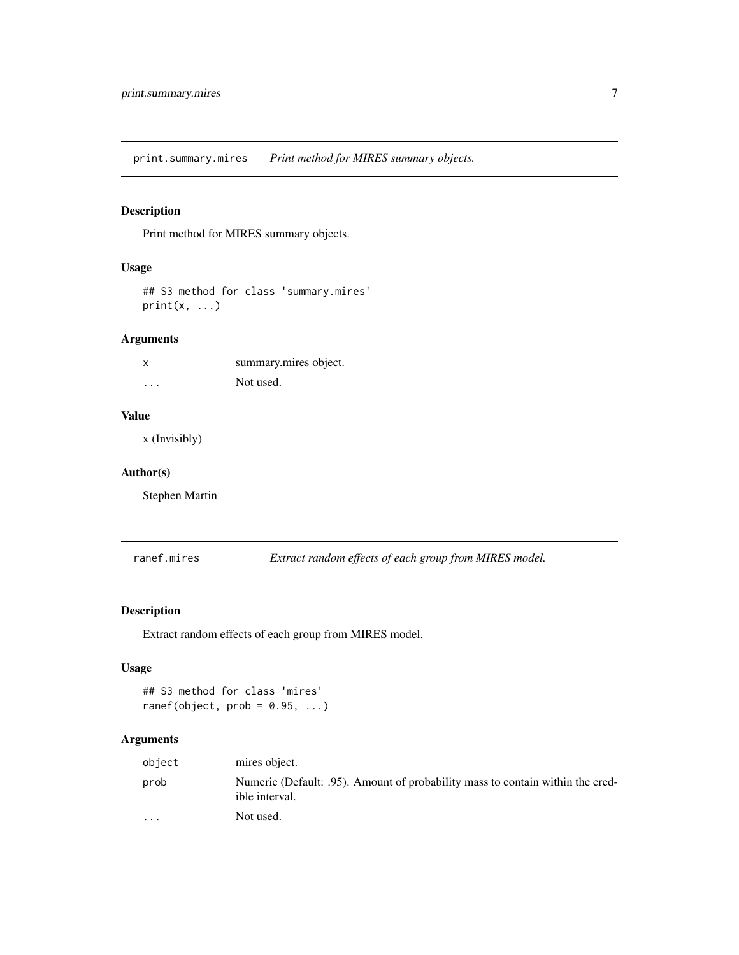<span id="page-6-0"></span>print.summary.mires *Print method for MIRES summary objects.*

#### Description

Print method for MIRES summary objects.

#### Usage

## S3 method for class 'summary.mires'  $print(x, \ldots)$ 

#### Arguments

|          | summary mires object. |
|----------|-----------------------|
| $\cdots$ | Not used.             |

#### Value

x (Invisibly)

#### Author(s)

Stephen Martin

ranef.mires *Extract random effects of each group from MIRES model.*

#### Description

Extract random effects of each group from MIRES model.

#### Usage

```
## S3 method for class 'mires'
ranef(object, prob = 0.95, ...)
```
#### Arguments

| object                  | mires object.                                                                                    |
|-------------------------|--------------------------------------------------------------------------------------------------|
| prob                    | Numeric (Default: .95). Amount of probability mass to contain within the cred-<br>ible interval. |
| $\cdot$ $\cdot$ $\cdot$ | Not used.                                                                                        |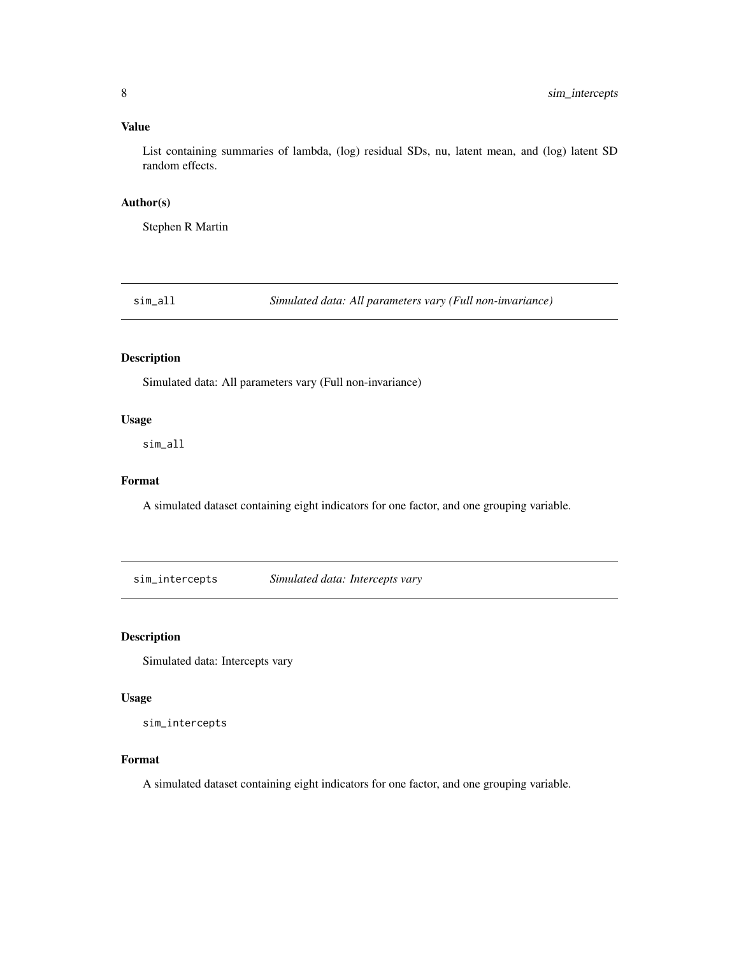#### <span id="page-7-0"></span>Value

List containing summaries of lambda, (log) residual SDs, nu, latent mean, and (log) latent SD random effects.

#### Author(s)

Stephen R Martin

sim\_all *Simulated data: All parameters vary (Full non-invariance)*

#### Description

Simulated data: All parameters vary (Full non-invariance)

#### Usage

sim\_all

#### Format

A simulated dataset containing eight indicators for one factor, and one grouping variable.

sim\_intercepts *Simulated data: Intercepts vary*

#### Description

Simulated data: Intercepts vary

#### Usage

sim\_intercepts

#### Format

A simulated dataset containing eight indicators for one factor, and one grouping variable.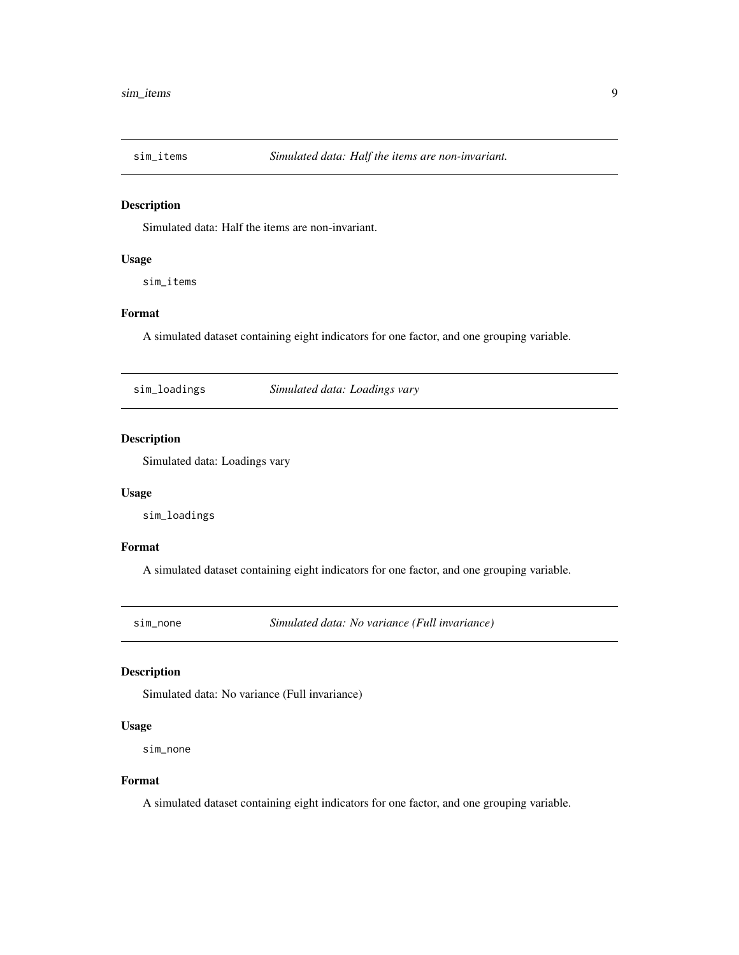<span id="page-8-0"></span>

#### Description

Simulated data: Half the items are non-invariant.

#### Usage

sim\_items

### Format

A simulated dataset containing eight indicators for one factor, and one grouping variable.

sim\_loadings *Simulated data: Loadings vary*

#### Description

Simulated data: Loadings vary

#### Usage

sim\_loadings

#### Format

A simulated dataset containing eight indicators for one factor, and one grouping variable.

sim\_none *Simulated data: No variance (Full invariance)*

#### Description

Simulated data: No variance (Full invariance)

#### Usage

sim\_none

#### Format

A simulated dataset containing eight indicators for one factor, and one grouping variable.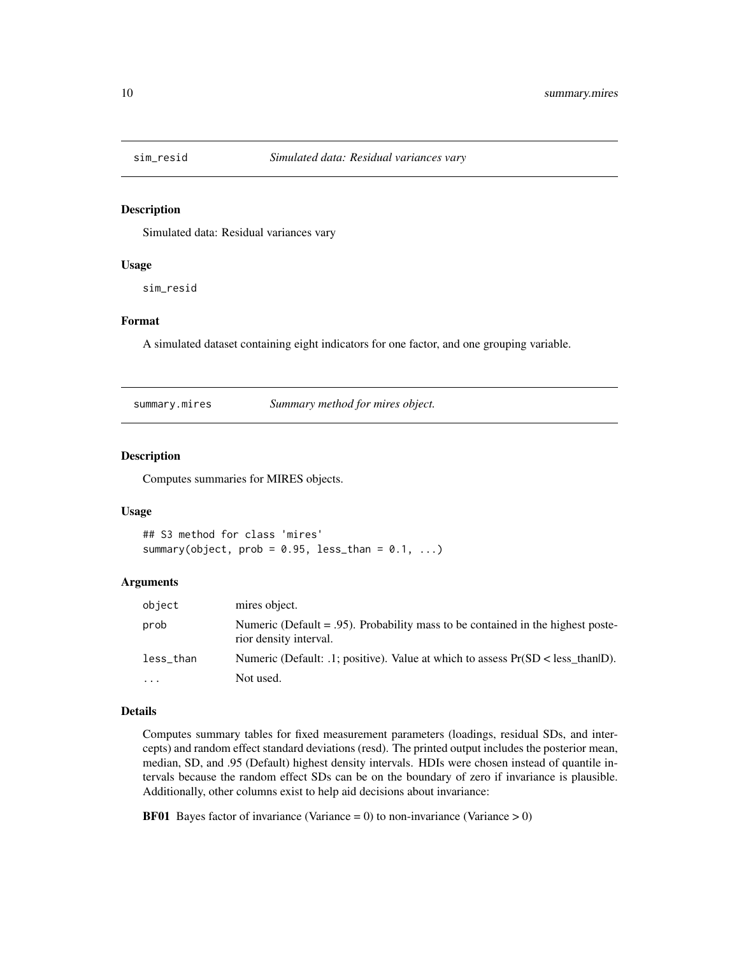<span id="page-9-0"></span>

#### Description

Simulated data: Residual variances vary

#### Usage

sim\_resid

#### Format

A simulated dataset containing eight indicators for one factor, and one grouping variable.

summary.mires *Summary method for mires object.*

#### Description

Computes summaries for MIRES objects.

#### Usage

```
## S3 method for class 'mires'
summary(object, prob = 0.95, less_than = 0.1, ...)
```
#### Arguments

| object    | mires object.                                                                                                |
|-----------|--------------------------------------------------------------------------------------------------------------|
| prob      | Numeric (Default $= .95$ ). Probability mass to be contained in the highest poste-<br>rior density interval. |
| less_than | Numeric (Default: .1; positive). Value at which to assess $Pr(SD < less than   D)$ .                         |
| .         | Not used.                                                                                                    |

#### Details

Computes summary tables for fixed measurement parameters (loadings, residual SDs, and intercepts) and random effect standard deviations (resd). The printed output includes the posterior mean, median, SD, and .95 (Default) highest density intervals. HDIs were chosen instead of quantile intervals because the random effect SDs can be on the boundary of zero if invariance is plausible. Additionally, other columns exist to help aid decisions about invariance:

**BF01** Bayes factor of invariance (Variance = 0) to non-invariance (Variance > 0)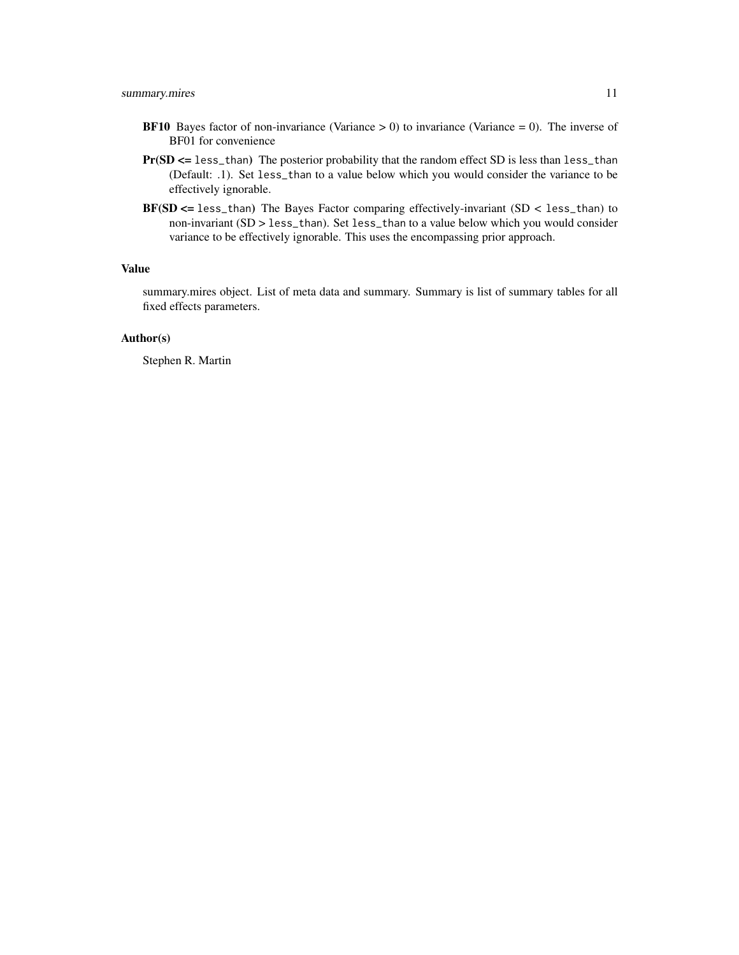- **BF10** Bayes factor of non-invariance (Variance  $> 0$ ) to invariance (Variance  $= 0$ ). The inverse of BF01 for convenience
- Pr(SD <= less\_than) The posterior probability that the random effect SD is less than less\_than (Default: .1). Set less\_than to a value below which you would consider the variance to be effectively ignorable.
- BF(SD <= less\_than) The Bayes Factor comparing effectively-invariant (SD < less\_than) to non-invariant (SD > less\_than). Set less\_than to a value below which you would consider variance to be effectively ignorable. This uses the encompassing prior approach.

#### Value

summary.mires object. List of meta data and summary. Summary is list of summary tables for all fixed effects parameters.

#### Author(s)

Stephen R. Martin